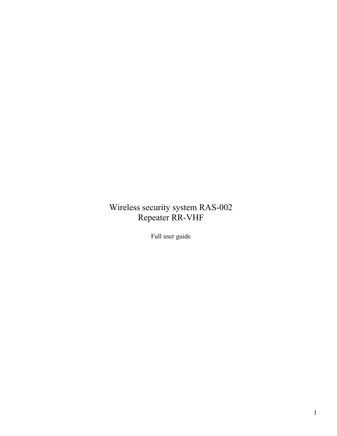# Wireless security system RAS-002 Repeater RR-VHF

Full user guide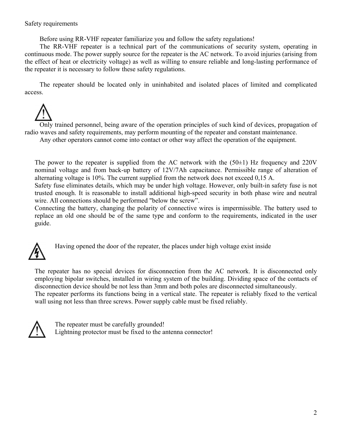#### Safety requirements

Before using RR-VHF repeater familiarize you and follow the safety regulations!

The RR-VHF repeater is a technical part of the communications of security system, operating in continuous mode. The power supply source for the repeater is the AC network. To avoid injuries (arising from the effect of heat or electricity voltage) as well as willing to ensure reliable and long-lasting performance of the repeater it is necessary to follow these safety regulations.

The repeater should be located only in uninhabited and isolated places of limited and complicated access.

Only trained personnel, being aware of the operation principles of such kind of devices, propagation of radio waves and safety requirements, may perform mounting of the repeater and constant maintenance.

Any other operators cannot come into contact or other way affect the operation of the equipment.

The power to the repeater is supplied from the AC network with the  $(50\pm 1)$  Hz frequency and 220V nominal voltage and from back-up battery of 12V/7Ah capacitance. Permissible range of alteration of alternating voltage is 10%. The current supplied from the network does not exceed 0,15 A.

Safety fuse eliminates details, which may be under high voltage. However, only built-in safety fuse is not trusted enough. It is reasonable to install additional high-speed security in both phase wire and neutral wire. All connections should be performed "below the screw".

Connecting the battery, changing the polarity of connective wires is impermissible. The battery used to replace an old one should be of the same type and conform to the requirements, indicated in the user guide.



Having opened the door of the repeater, the places under high voltage exist inside

The repeater has no special devices for disconnection from the AC network. It is disconnected only employing bipolar switches, installed in wiring system of the building. Dividing space of the contacts of disconnection device should be not less than 3mm and both poles are disconnected simultaneously. The repeater performs its functions being in a vertical state. The repeater is reliably fixed to the vertical

wall using not less than three screws. Power supply cable must be fixed reliably.



The repeater must be carefully grounded! Lightning protector must be fixed to the antenna connector!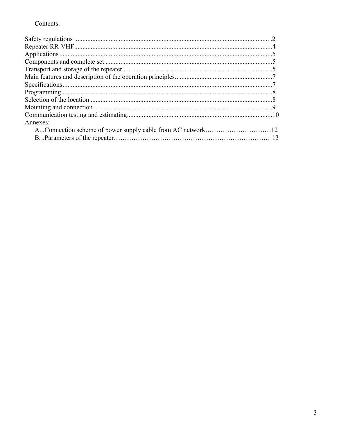# Contents:

| Annexes: |  |
|----------|--|
|          |  |
|          |  |
|          |  |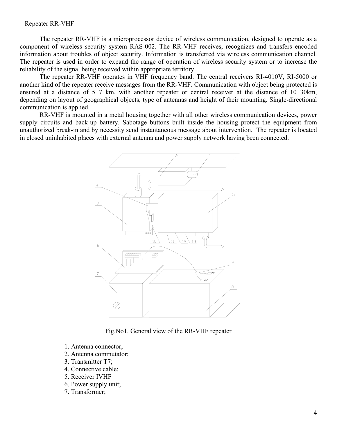#### Repeater RR-VHF

The repeater RR-VHF is a microprocessor device of wireless communication, designed to operate as a component of wireless security system RAS-002. The RR-VHF receives, recognizes and transfers encoded information about troubles of object security. Information is transferred via wireless communication channel. The repeater is used in order to expand the range of operation of wireless security system or to increase the reliability of the signal being received within appropriate territory.

The repeater RR-VHF operates in VHF frequency band. The central receivers RI-4010V, RI-5000 or another kind of the repeater receive messages from the RR-VHF. Communication with object being protected is ensured at a distance of  $5\div 7$  km, with another repeater or central receiver at the distance of  $10\div 30$ km, depending on layout of geographical objects, type of antennas and height of their mounting. Single-directional communication is applied.

RR-VHF is mounted in a metal housing together with all other wireless communication devices, power supply circuits and back-up battery. Sabotage buttons built inside the housing protect the equipment from unauthorized break-in and by necessity send instantaneous message about intervention. The repeater is located in closed uninhabited places with external antenna and power supply network having been connected.



Fig.No1. General view of the RR-VHF repeater

- 1. Antenna connector;
- 2. Antenna commutator;
- 3. Transmitter T7;
- 4. Connective cable;
- 5. Receiver IVHF
- 6. Power supply unit;
- 7. Transformer;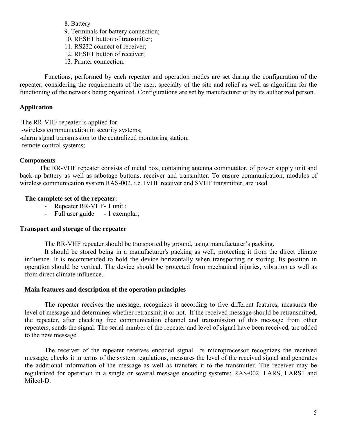- 8. Battery
- 9. Terminals for battery connection;
- 10. RESET button of transmitter;
- 11. RS232 connect of receiver;
- 12. RESET button of receiver;
- 13. Printer connection.

Functions, performed by each repeater and operation modes are set during the configuration of the repeater, considering the requirements of the user, specialty of the site and relief as well as algorithm for the functioning of the network being organized. Configurations are set by manufacturer or by its authorized person.

#### **Application**

 The RR-VHF repeater is applied for: -wireless communication in security systems; -alarm signal transmission to the centralized monitoring station; -remote control systems;

#### **Components**

The RR-VHF repeater consists of metal box, containing antenna commutator, of power supply unit and back-up battery as well as sabotage buttons, receiver and transmitter. To ensure communication, modules of wireless communication system RAS-002, i.e. IVHF receiver and SVHF transmitter, are used.

## **The complete set of the repeater**:

- Repeater RR-VHF- 1 unit.;
- Full user guide 1 exemplar;

#### **Transport and storage of the repeater**

The RR-VHF repeater should be transported by ground, using manufacturer's packing.

It should be stored being in a manufacturer's packing as well, protecting it from the direct climate influence. It is recommended to hold the device horizontally when transporting or storing. Its position in operation should be vertical. The device should be protected from mechanical injuries, vibration as well as from direct climate influence.

#### **Main features and description of the operation principles**

The repeater receives the message, recognizes it according to five different features, measures the level of message and determines whether retransmit it or not. If the received message should be retransmitted, the repeater, after checking free communication channel and transmission of this message from other repeaters, sends the signal. The serial number of the repeater and level of signal have been received, are added to the new message.

The receiver of the repeater receives encoded signal. Its microprocessor recognizes the received message, checks it in terms of the system regulations, measures the level of the received signal and generates the additional information of the message as well as transfers it to the transmitter. The receiver may be regularized for operation in a single or several message encoding systems: RAS-002, LARS, LARS1 and Milcol-D.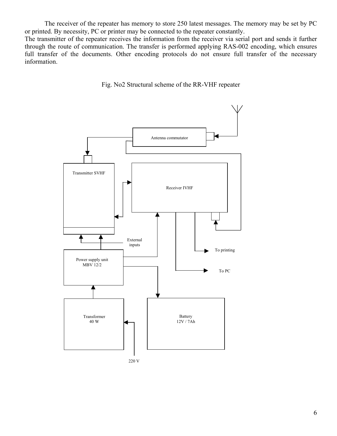The receiver of the repeater has memory to store 250 latest messages. The memory may be set by PC or printed. By necessity, PC or printer may be connected to the repeater constantly.

The transmitter of the repeater receives the information from the receiver via serial port and sends it further through the route of communication. The transfer is performed applying RAS-002 encoding, which ensures full transfer of the documents. Other encoding protocols do not ensure full transfer of the necessary information.





220 V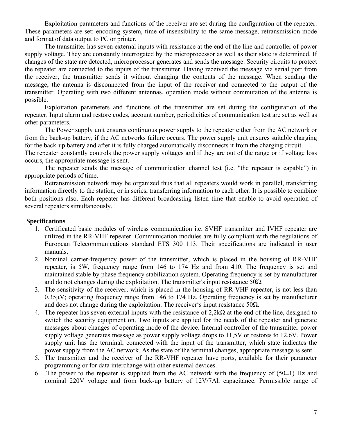Exploitation parameters and functions of the receiver are set during the configuration of the repeater. These parameters are set: encoding system, time of insensibility to the same message, retransmission mode and format of data output to PC or printer.

The transmitter has seven external inputs with resistance at the end of the line and controller of power supply voltage. They are constantly interrogated by the microprocessor as well as their state is determined. If changes of the state are detected, microprocessor generates and sends the message. Security circuits to protect the repeater are connected to the inputs of the transmitter. Having received the message via serial port from the receiver, the transmitter sends it without changing the contents of the message. When sending the message, the antenna is disconnected from the input of the receiver and connected to the output of the transmitter. Operating with two different antennas, operation mode without commutation of the antenna is possible.

Exploitation parameters and functions of the transmitter are set during the configuration of the repeater. Input alarm and restore codes, account number, periodicities of communication test are set as well as other parameters.

The Power supply unit ensures continuous power supply to the repeater either from the AC network or from the back-up battery, if the AC networks failure occurs. The power supply unit ensures suitable charging for the back-up battery and after it is fully charged automatically disconnects it from the charging circuit.

The repeater constantly controls the power supply voltages and if they are out of the range or if voltage loss occurs, the appropriate message is sent.

The repeater sends the message of communication channel test (i.e. "the repeater is capable") in appropriate periods of time.

Retransmission network may be organized thus that all repeaters would work in parallel, transferring information directly to the station, or in series, transferring information to each other. It is possible to combine both positions also. Each repeater has different broadcasting listen time that enable to avoid operation of several repeaters simultaneously.

## **Specifications**

- 1. Certificated basic modules of wireless communication i.e. SVHF transmitter and IVHF repeater are utilized in the RR-VHF repeater. Communication modules are fully compliant with the regulations of European Telecommunications standard ETS 300 113. Their specifications are indicated in user manuals.
- 2. Nominal carrier-frequency power of the transmitter, which is placed in the housing of RR-VHF repeater, is 5W, frequency range from 146 to 174 Hz and from 410. The frequency is set and maintained stable by phase frequency stabilization system. Operating frequency is set by manufacturer and do not changes during the exploitation. The transmitter's input resistance  $50\Omega$ .
- 3. The sensitivity of the receiver, which is placed in the housing of RR-VHF repeater, is not less than 0,35µV; operating frequency range from 146 to 174 Hz. Operating frequency is set by manufacturer and does not change during the exploitation. The receiver's input resistance  $50\Omega$ .
- 4. The repeater has seven external inputs with the resistance of  $2.2k\Omega$  at the end of the line, designed to switch the security equipment on. Two inputs are applied for the needs of the repeater and generate messages about changes of operating mode of the device. Internal controller of the transmitter power supply voltage generates message as power supply voltage drops to 11,5V or restores to 12,6V. Power supply unit has the terminal, connected with the input of the transmitter, which state indicates the power supply from the AC network. As the state of the terminal changes, appropriate message is sent.
- 5. The transmitter and the receiver of the RR-VHF repeater have ports, available for their parameter programming or for data interchange with other external devices.
- 6. The power to the repeater is supplied from the AC network with the frequency of  $(50\pm1)$  Hz and nominal 220V voltage and from back-up battery of 12V/7Ah capacitance. Permissible range of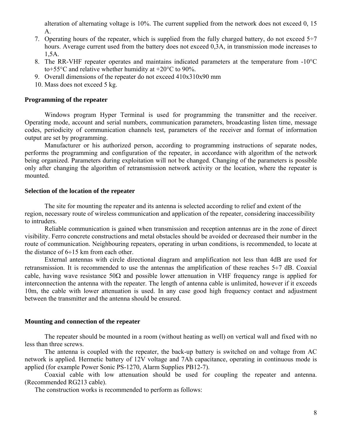alteration of alternating voltage is 10%. The current supplied from the network does not exceed 0, 15 A.

- 7. Operating hours of the repeater, which is supplied from the fully charged battery, do not exceed  $5\div 7$ hours. Average current used from the battery does not exceed 0,3A, in transmission mode increases to 1,5A.
- 8. The RR-VHF repeater operates and maintains indicated parameters at the temperature from -10°C to+55 $\degree$ C and relative whether humidity at +20 $\degree$ C to 90%.
- 9. Overall dimensions of the repeater do not exceed 410x310x90 mm
- 10. Mass does not exceed 5 kg.

#### **Programming of the repeater**

Windows program Hyper Terminal is used for programming the transmitter and the receiver. Operating mode, account and serial numbers, communication parameters, broadcasting listen time, message codes, periodicity of communication channels test, parameters of the receiver and format of information output are set by programming.

Manufacturer or his authorized person, according to programming instructions of separate nodes, performs the programming and configuration of the repeater, in accordance with algorithm of the network being organized. Parameters during exploitation will not be changed. Changing of the parameters is possible only after changing the algorithm of retransmission network activity or the location, where the repeater is mounted.

#### **Selection of the location of the repeater**

The site for mounting the repeater and its antenna is selected according to relief and extent of the region, necessary route of wireless communication and application of the repeater, considering inaccessibility to intruders.

Reliable communication is gained when transmission and reception antennas are in the zone of direct visibility. Ferro concrete constructions and metal obstacles should be avoided or decreased their number in the route of communication. Neighbouring repeaters, operating in urban conditions, is recommended, to locate at the distance of  $6 \div 15$  km from each other.

External antennas with circle directional diagram and amplification not less than 4dB are used for retransmission. It is recommended to use the antennas the amplification of these reaches 5÷7 dB. Coaxial cable, having wave resistance 50 $\Omega$  and possible lower attenuation in VHF frequency range is applied for interconnection the antenna with the repeater. The length of antenna cable is unlimited, however if it exceeds 10m, the cable with lower attenuation is used. In any case good high frequency contact and adjustment between the transmitter and the antenna should be ensured.

#### **Mounting and connection of the repeater**

The repeater should be mounted in a room (without heating as well) on vertical wall and fixed with no less than three screws.

The antenna is coupled with the repeater, the back-up battery is switched on and voltage from AC network is applied. Hermetic battery of 12V voltage and 7Ah capacitance, operating in continuous mode is applied (for example Power Sonic PS-1270, Alarm Supplies PB12-7).

Coaxial cable with low attenuation should be used for coupling the repeater and antenna. (Recommended RG213 cable).

The construction works is recommended to perform as follows: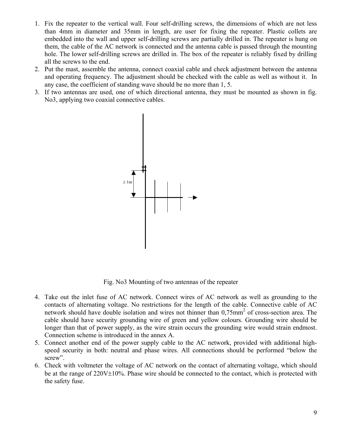- 1. Fix the repeater to the vertical wall. Four self-drilling screws, the dimensions of which are not less than 4mm in diameter and 35mm in length, are user for fixing the repeater. Plastic collets are embedded into the wall and upper self-drilling screws are partially drilled in. The repeater is hung on them, the cable of the AC network is connected and the antenna cable is passed through the mounting hole. The lower self-drilling screws are drilled in. The box of the repeater is reliably fixed by drilling all the screws to the end.
- 2. Put the mast, assemble the antenna, connect coaxial cable and check adjustment between the antenna and operating frequency. The adjustment should be checked with the cable as well as without it. In any case, the coefficient of standing wave should be no more than 1, 5.
- 3. If two antennas are used, one of which directional antenna, they must be mounted as shown in fig. No3, applying two coaxial connective cables.



Fig. No3 Mounting of two antennas of the repeater

- 4. Take out the inlet fuse of AC network. Connect wires of AC network as well as grounding to the contacts of alternating voltage. No restrictions for the length of the cable. Connective cable of AC network should have double isolation and wires not thinner than 0,75mm<sup>2</sup> of cross-section area. The cable should have security grounding wire of green and yellow colours. Grounding wire should be longer than that of power supply, as the wire strain occurs the grounding wire would strain endmost. Connection scheme is introduced in the annex A.
- 5. Connect another end of the power supply cable to the AC network, provided with additional highspeed security in both: neutral and phase wires. All connections should be performed "below the screw".
- 6. Check with voltmeter the voltage of AC network on the contact of alternating voltage, which should be at the range of 220V±10%. Phase wire should be connected to the contact, which is protected with the safety fuse.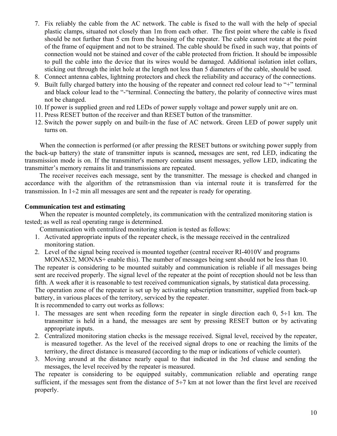- 7. Fix reliably the cable from the AC network. The cable is fixed to the wall with the help of special plastic clamps, situated not closely than 1m from each other. The first point where the cable is fixed should be not further than 5 cm from the housing of the repeater. The cable cannot rotate at the point of the frame of equipment and not to be strained. The cable should be fixed in such way, that points of connection would not be stained and cover of the cable protected from friction. It should be impossible to pull the cable into the device that its wires would be damaged. Additional isolation inlet collars, sticking out through the inlet hole at the length not less than 5 diameters of the cable, should be used.
- 8. Connect antenna cables, lightning protectors and check the reliability and accuracy of the connections.
- 9. Built fully charged battery into the housing of the repeater and connect red colour lead to "+" terminal and black colour lead to the "-"terminal. Connecting the battery, the polarity of connective wires must not be changed.
- 10. If power is supplied green and red LEDs of power supply voltage and power supply unit are on.
- 11. Press RESET button of the receiver and than RESET button of the transmitter.
- 12. Switch the power supply on and built-in the fuse of AC network. Green LED of power supply unit turns on.

When the connection is performed (or after pressing the RESET buttons or switching power supply from the back-up battery) the state of transmitter inputs is scanned**,** messages are sent, red LED, indicating the transmission mode is on. If the transmitter's memory contains unsent messages, yellow LED, indicating the transmitter's memory remains lit and transmissions are repeated.

The receiver receives each message, sent by the transmitter. The message is checked and changed in accordance with the algorithm of the retransmission than via internal route it is transferred for the transmission. In  $1\div 2$  min all messages are sent and the repeater is ready for operating.

#### **Communication test and estimating**

When the repeater is mounted completely, its communication with the centralized monitoring station is tested; as well as real operating range is determined.

Communication with centralized monitoring station is tested as follows:

- 1. Activated appropriate inputs of the repeater check, is the message received in the centralized monitoring station.
- 2. Level of the signal being received is mounted together (central receiver RI-4010V and programs MONAS32, MONAS+ enable this). The number of messages being sent should not be less than 10.

The repeater is considering to be mounted suitably and communication is reliable if all messages being sent are received properly. The signal level of the repeater at the point of reception should not be less than fifth. A week after it is reasonable to test received communication signals, by statistical data processing. The operation zone of the repeater is set up by activating subscription transmitter, supplied from back-up battery, in various places of the territory, serviced by the repeater.

It is recommended to carry out works as follows:

- 1. The messages are sent when receding form the repeater in single direction each  $0, 5 \div 1$  km. The transmitter is held in a hand, the messages are sent by pressing RESET button or by activating appropriate inputs.
- 2. Centralized monitoring station checks is the message received. Signal level, received by the repeater, is measured together. As the level of the received signal drops to one or reaching the limits of the territory, the direct distance is measured (according to the map or indications of vehicle counter).
- 3. Moving around at the distance nearly equal to that indicated in the 3rd clause and sending the messages, the level received by the repeater is measured.

The repeater is considering to be equipped suitably, communication reliable and operating range sufficient, if the messages sent from the distance of  $5\div 7$  km at not lower than the first level are received properly.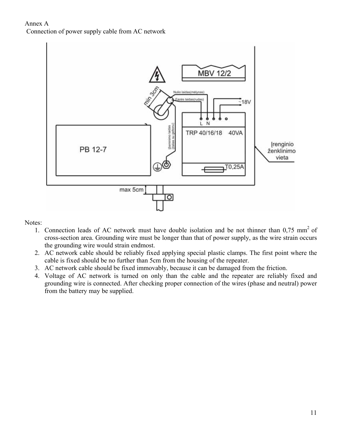# Annex A Connection of power supply cable from AC network



Notes:

- 1. Connection leads of AC network must have double isolation and be not thinner than 0,75 mm<sup>2</sup> of cross-section area. Grounding wire must be longer than that of power supply, as the wire strain occurs the grounding wire would strain endmost.
- 2. AC network cable should be reliably fixed applying special plastic clamps. The first point where the cable is fixed should be no further than 5cm from the housing of the repeater.
- 3. AC network cable should be fixed immovably, because it can be damaged from the friction.
- 4. Voltage of AC network is turned on only than the cable and the repeater are reliably fixed and grounding wire is connected. After checking proper connection of the wires (phase and neutral) power from the battery may be supplied.